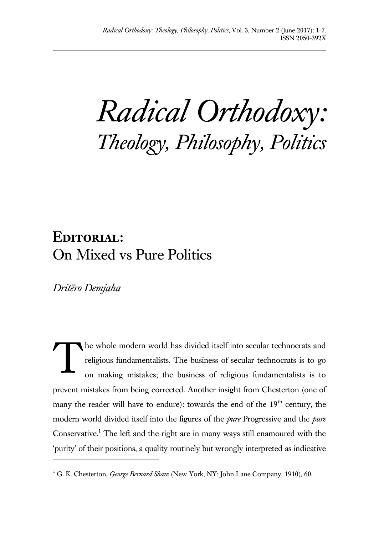*Radical Orthodoxy: Theology, Philosophy, Politics*

## **Editorial:**  On Mixed vs Pure Politics

*Dritëro Demjaha*

 $\overline{a}$ 

he whole modern world has divided itself into secular technocrats and religious fundamentalists. The business of secular technocrats is to go on making mistakes; the business of religious fundamentalists is to prevent mistakes from being corrected. Another insight from Chesterton (one of many the reader will have to endure): towards the end of the 19<sup>th</sup> century, the modern world divided itself into the figures of the *pure* Progressive and the *pure*  Conservative.<sup>1</sup> The left and the right are in many ways still enamoured with the 'purity' of their positions, a quality routinely but wrongly interpreted as indicative T

<sup>&</sup>lt;sup>1</sup> G. K. Chesterton, *George Bernard Shaw* (New York, NY: John Lane Company, 1910), 60.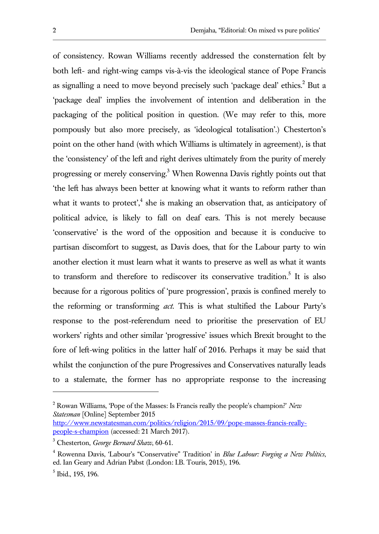of consistency. Rowan Williams recently addressed the consternation felt by both left- and right-wing camps vis-à-vis the ideological stance of Pope Francis as signalling a need to move beyond precisely such 'package deal' ethics.<sup>2</sup> But a 'package deal' implies the involvement of intention and deliberation in the packaging of the political position in question. (We may refer to this, more pompously but also more precisely, as 'ideological totalisation'.) Chesterton's point on the other hand (with which Williams is ultimately in agreement), is that the 'consistency' of the left and right derives ultimately from the purity of merely progressing or merely conserving.<sup>3</sup> When Rowenna Davis rightly points out that 'the left has always been better at knowing what it wants to reform rather than what it wants to protect', $4$  she is making an observation that, as anticipatory of political advice, is likely to fall on deaf ears. This is not merely because 'conservative' is the word of the opposition and because it is conducive to partisan discomfort to suggest, as Davis does, that for the Labour party to win another election it must learn what it wants to preserve as well as what it wants to transform and therefore to rediscover its conservative tradition. 5 It is also because for a rigorous politics of 'pure progression', praxis is confined merely to the reforming or transforming *act*. This is what stultified the Labour Party's response to the post-referendum need to prioritise the preservation of EU workers' rights and other similar 'progressive' issues which Brexit brought to the fore of left-wing politics in the latter half of 2016. Perhaps it may be said that whilst the conjunction of the pure Progressives and Conservatives naturally leads to a stalemate, the former has no appropriate response to the increasing

l

<sup>2</sup> Rowan Williams, 'Pope of the Masses: Is Francis really the people's champion?' *New Statesman* [Online] September 2015

http://www.newstatesman.com/politics/religion/2015/09/pope-masses-francis-reallypeople-s-champion (accessed: 21 March 2017).

<sup>3</sup> Chesterton, *George Bernard Shaw*, 60-61.

<sup>4</sup> Rowenna Davis, 'Labour's "Conservative" Tradition' in *Blue Labour: Forging a New Politics*, ed. Ian Geary and Adrian Pabst (London: I.B. Touris, 2015), 196.

<sup>5</sup> Ibid., 195, 196.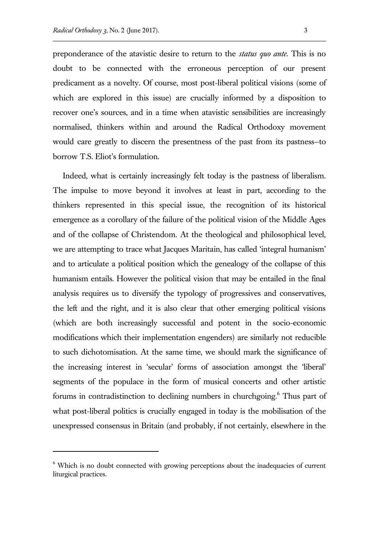l

preponderance of the atavistic desire to return to the *status quo ante*. This is no doubt to be connected with the erroneous perception of our present predicament as a novelty. Of course, most post-liberal political visions (some of which are explored in this issue) are crucially informed by a disposition to recover one's sources, and in a time when atavistic sensibilities are increasingly normalised, thinkers within and around the Radical Orthodoxy movement would care greatly to discern the presentness of the past from its pastness—to borrow T.S. Eliot's formulation.

Indeed, what is certainly increasingly felt today is the pastness of liberalism. The impulse to move beyond it involves at least in part, according to the thinkers represented in this special issue, the recognition of its historical emergence as a corollary of the failure of the political vision of the Middle Ages and of the collapse of Christendom. At the theological and philosophical level, we are attempting to trace what Jacques Maritain, has called 'integral humanism' and to articulate a political position which the genealogy of the collapse of this humanism entails. However the political vision that may be entailed in the final analysis requires us to diversify the typology of progressives and conservatives, the left and the right, and it is also clear that other emerging political visions (which are both increasingly successful and potent in the socio-economic modifications which their implementation engenders) are similarly not reducible to such dichotomisation. At the same time, we should mark the significance of the increasing interest in 'secular' forms of association amongst the 'liberal' segments of the populace in the form of musical concerts and other artistic forums in contradistinction to declining numbers in churchgoing.<sup>6</sup> Thus part of what post-liberal politics is crucially engaged in today is the mobilisation of the unexpressed consensus in Britain (and probably, if not certainly, elsewhere in the

<sup>&</sup>lt;sup>6</sup> Which is no doubt connected with growing perceptions about the inadequacies of current liturgical practices.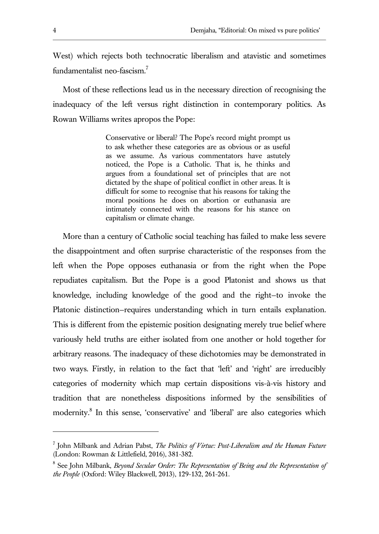West) which rejects both technocratic liberalism and atavistic and sometimes fundamentalist neo-fascism.<sup>7</sup>

Most of these reflections lead us in the necessary direction of recognising the inadequacy of the left versus right distinction in contemporary politics. As Rowan Williams writes apropos the Pope:

> Conservative or liberal? The Pope's record might prompt us to ask whether these categories are as obvious or as useful as we assume. As various commentators have astutely noticed, the Pope is a Catholic. That is, he thinks and argues from a foundational set of principles that are not dictated by the shape of political conflict in other areas. It is difficult for some to recognise that his reasons for taking the moral positions he does on abortion or euthanasia are intimately connected with the reasons for his stance on capitalism or climate change.

More than a century of Catholic social teaching has failed to make less severe the disappointment and often surprise characteristic of the responses from the left when the Pope opposes euthanasia or from the right when the Pope repudiates capitalism. But the Pope is a good Platonist and shows us that knowledge, including knowledge of the good and the right—to invoke the Platonic distinction—requires understanding which in turn entails explanation. This is different from the epistemic position designating merely true belief where variously held truths are either isolated from one another or hold together for arbitrary reasons. The inadequacy of these dichotomies may be demonstrated in two ways. Firstly, in relation to the fact that 'left' and 'right' are irreducibly categories of modernity which map certain dispositions vis-à-vis history and tradition that are nonetheless dispositions informed by the sensibilities of modernity. 8 In this sense, 'conservative' and 'liberal' are also categories which

<sup>7</sup> John Milbank and Adrian Pabst, *The Politics of Virtue: Post-Liberalism and the Human Future*  (London: Rowman & Littlefield, 2016), 381-382.

<sup>&</sup>lt;sup>8</sup> See John Milbank, *Beyond Secular Order: The Representation of Being and the Representation of the People* (Oxford: Wiley Blackwell, 2013), 129-132, 261-261.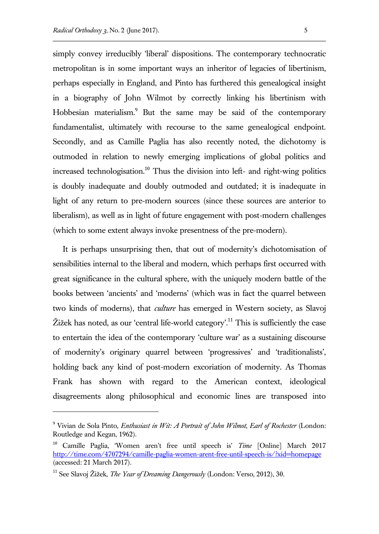simply convey irreducibly 'liberal' dispositions. The contemporary technocratic metropolitan is in some important ways an inheritor of legacies of libertinism, perhaps especially in England, and Pinto has furthered this genealogical insight in a biography of John Wilmot by correctly linking his libertinism with Hobbesian materialism.<sup>9</sup> But the same may be said of the contemporary fundamentalist, ultimately with recourse to the same genealogical endpoint. Secondly, and as Camille Paglia has also recently noted, the dichotomy is outmoded in relation to newly emerging implications of global politics and increased technologisation.<sup>10</sup> Thus the division into left- and right-wing politics is doubly inadequate and doubly outmoded and outdated; it is inadequate in light of any return to pre-modern sources (since these sources are anterior to liberalism), as well as in light of future engagement with post-modern challenges (which to some extent always invoke presentness of the pre-modern).

It is perhaps unsurprising then, that out of modernity's dichotomisation of sensibilities internal to the liberal and modern, which perhaps first occurred with great significance in the cultural sphere, with the uniquely modern battle of the books between 'ancients' and 'moderns' (which was in fact the quarrel between two kinds of moderns), that *culture* has emerged in Western society, as Slavoj Žižek has noted, as our 'central life-world category'.<sup>11</sup> This is sufficiently the case to entertain the idea of the contemporary 'culture war' as a sustaining discourse of modernity's originary quarrel between 'progressives' and 'traditionalists', holding back any kind of post-modern excoriation of modernity. As Thomas Frank has shown with regard to the American context, ideological disagreements along philosophical and economic lines are transposed into

<sup>9</sup> Vivian de Sola Pinto, *Enthusiast in Wit: A Portrait of John Wilmot, Earl of Rochester* (London: Routledge and Kegan, 1962).

<sup>10</sup> Camille Paglia, 'Women aren't free until speech is' *Time* [Online] March 2017 http://time.com/4707294/camille-paglia-women-arent-free-until-speech-is/?xid=homepage (accessed: 21 March 2017).

<sup>11</sup> See Slavoj Žižek, *The Year of Dreaming Dangerously* (London: Verso, 2012), 30.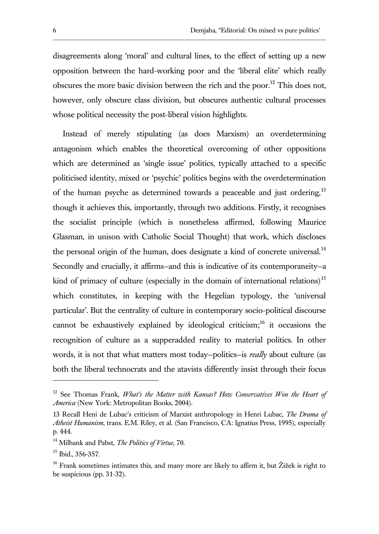disagreements along 'moral' and cultural lines, to the effect of setting up a new opposition between the hard-working poor and the 'liberal elite' which really obscures the more basic division between the rich and the poor.<sup>12</sup> This does not. however, only obscure class division, but obscures authentic cultural processes whose political necessity the post-liberal vision highlights.

Instead of merely stipulating (as does Marxism) an overdetermining antagonism which enables the theoretical overcoming of other oppositions which are determined as 'single issue' politics, typically attached to a specific politicised identity, mixed or 'psychic' politics begins with the overdetermination of the human psyche as determined towards a peaceable and just ordering.<sup>13</sup> though it achieves this, importantly, through two additions. Firstly, it recognises the socialist principle (which is nonetheless affirmed, following Maurice Glasman, in unison with Catholic Social Thought) that work, which discloses the personal origin of the human, does designate a kind of concrete universal.<sup>14</sup> Secondly and crucially, it affirms—and this is indicative of its contemporaneity—a kind of primacy of culture (especially in the domain of international relations)<sup>15</sup> which constitutes, in keeping with the Hegelian typology, the 'universal particular'. But the centrality of culture in contemporary socio-political discourse cannot be exhaustively explained by ideological criticism;<sup>16</sup> it occasions the recognition of culture as a supperadded reality to material politics. In other words, it is not that what matters most today—politics—is *really* about culture (as both the liberal technocrats and the atavists differently insist through their focus

<sup>12</sup> See Thomas Frank, *What's the Matter with Kansas? How Conservatives Won the Heart of America* (New York: Metropolitan Books, 2004).

<sup>13</sup> Recall Heni de Lubac's criticism of Marxist anthropology in Henri Lubac, *The Drama of Atheist Humanism*, trans. E.M. Riley, et al. (San Francisco, CA: Ignatius Press, 1995), especially p. 444.

<sup>14</sup> Milbank and Pabst, *The Politics of Virtue*, 70.

<sup>&</sup>lt;sup>15</sup> Ibid., 356-357.

 $16$  Frank sometimes intimates this, and many more are likely to affirm it, but Žižek is right to be suspicious (pp. 31-32).